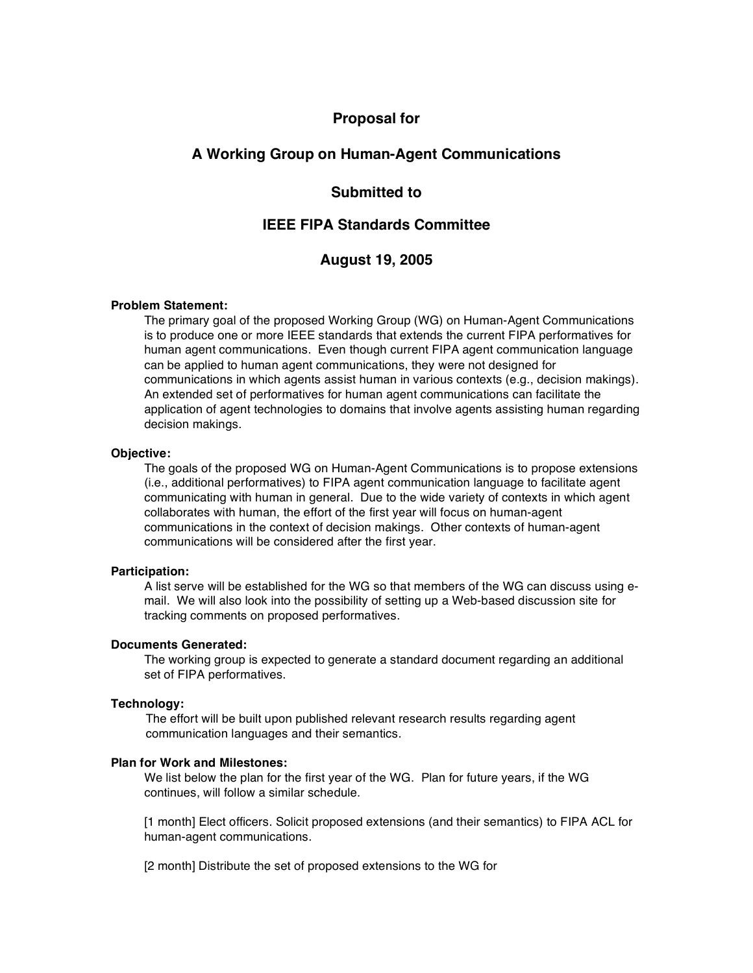# **Proposal for**

# **A Working Group on Human-Agent Communications**

# **Submitted to**

# **IEEE FIPA Standards Committee**

## **August 19, 2005**

#### **Problem Statement:**

The primary goal of the proposed Working Group (WG) on Human-Agent Communications is to produce one or more IEEE standards that extends the current FIPA performatives for human agent communications. Even though current FIPA agent communication language can be applied to human agent communications, they were not designed for communications in which agents assist human in various contexts (e.g., decision makings). An extended set of performatives for human agent communications can facilitate the application of agent technologies to domains that involve agents assisting human regarding decision makings.

## **Objective:**

The goals of the proposed WG on Human-Agent Communications is to propose extensions (i.e., additional performatives) to FIPA agent communication language to facilitate agent communicating with human in general. Due to the wide variety of contexts in which agent collaborates with human, the effort of the first year will focus on human-agent communications in the context of decision makings. Other contexts of human-agent communications will be considered after the first year.

#### **Participation:**

A list serve will be established for the WG so that members of the WG can discuss using email. We will also look into the possibility of setting up a Web-based discussion site for tracking comments on proposed performatives.

#### **Documents Generated:**

The working group is expected to generate a standard document regarding an additional set of FIPA performatives.

## **Technology:**

The effort will be built upon published relevant research results regarding agent communication languages and their semantics.

## **Plan for Work and Milestones:**

We list below the plan for the first year of the WG. Plan for future years, if the WG continues, will follow a similar schedule.

[1 month] Elect officers. Solicit proposed extensions (and their semantics) to FIPA ACL for human-agent communications.

[2 month] Distribute the set of proposed extensions to the WG for